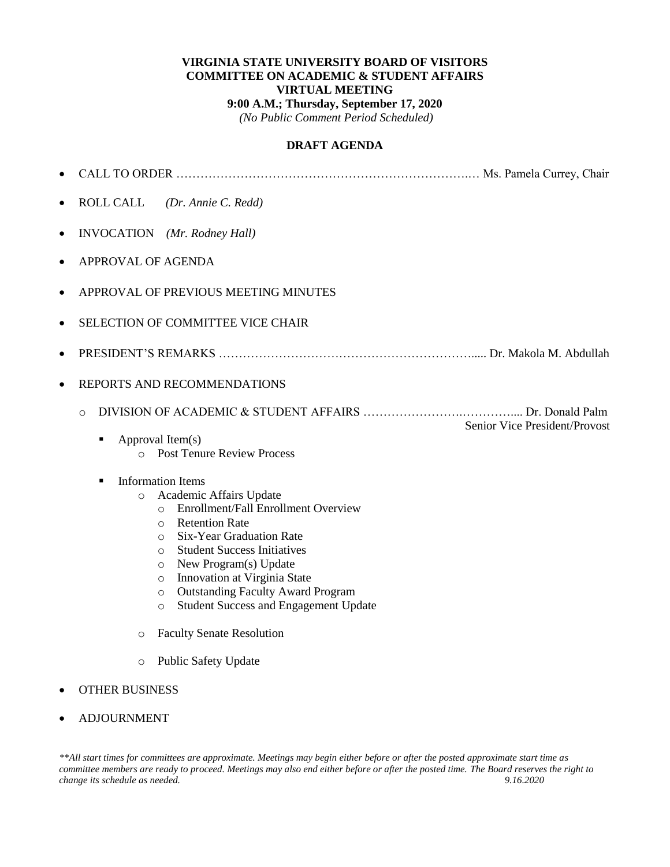#### **VIRGINIA STATE UNIVERSITY BOARD OF VISITORS COMMITTEE ON ACADEMIC & STUDENT AFFAIRS VIRTUAL MEETING 9:00 A.M.; Thursday, September 17, 2020** *(No Public Comment Period Scheduled)*

#### **DRAFT AGENDA**

| $\bullet$                          |                                                                                   |                               |
|------------------------------------|-----------------------------------------------------------------------------------|-------------------------------|
| $\bullet$                          | <b>ROLL CALL</b><br>(Dr. Annie C. Redd)                                           |                               |
| $\bullet$                          | INVOCATION (Mr. Rodney Hall)                                                      |                               |
| $\bullet$                          | APPROVAL OF AGENDA                                                                |                               |
| $\bullet$                          | APPROVAL OF PREVIOUS MEETING MINUTES                                              |                               |
| $\bullet$                          | <b>SELECTION OF COMMITTEE VICE CHAIR</b>                                          |                               |
| $\bullet$                          |                                                                                   |                               |
| $\bullet$                          | REPORTS AND RECOMMENDATIONS                                                       |                               |
|                                    | $\Omega$                                                                          | Senior Vice President/Provost |
|                                    | Approval Item(s)<br>٠                                                             |                               |
|                                    | <b>Post Tenure Review Process</b><br>$\Omega$                                     |                               |
| <b>Information Items</b><br>п      |                                                                                   |                               |
|                                    | Academic Affairs Update<br>$\circ$                                                |                               |
|                                    | Enrollment/Fall Enrollment Overview<br>$\circ$                                    |                               |
|                                    | <b>Retention Rate</b><br>$\circ$                                                  |                               |
|                                    | Six-Year Graduation Rate<br>$\circ$                                               |                               |
|                                    | <b>Student Success Initiatives</b><br>$\circ$<br>New Program(s) Update<br>$\circ$ |                               |
|                                    | Innovation at Virginia State<br>$\circ$                                           |                               |
|                                    | <b>Outstanding Faculty Award Program</b><br>$\circ$                               |                               |
|                                    | <b>Student Success and Engagement Update</b><br>$\circ$                           |                               |
|                                    | <b>Faculty Senate Resolution</b><br>$\circ$                                       |                               |
|                                    | <b>Public Safety Update</b><br>$\circ$                                            |                               |
| <b>OTHER BUSINESS</b><br>$\bullet$ |                                                                                   |                               |

ADJOURNMENT

*\*\*All start times for committees are approximate. Meetings may begin either before or after the posted approximate start time as committee members are ready to proceed. Meetings may also end either before or after the posted time. The Board reserves the right to change its schedule as needed. 9.16.2020*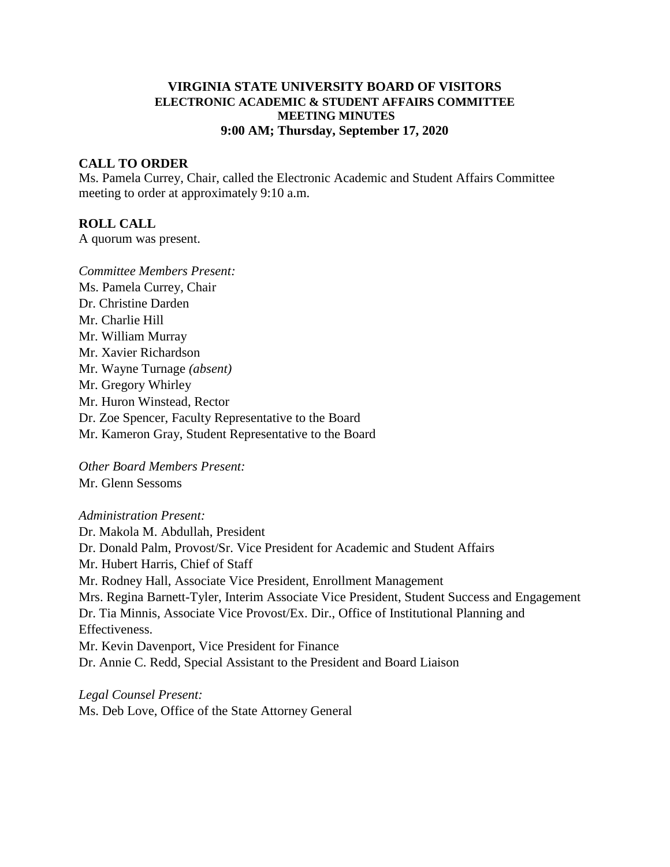### **VIRGINIA STATE UNIVERSITY BOARD OF VISITORS ELECTRONIC ACADEMIC & STUDENT AFFAIRS COMMITTEE MEETING MINUTES 9:00 AM; Thursday, September 17, 2020**

### **CALL TO ORDER**

Ms. Pamela Currey, Chair, called the Electronic Academic and Student Affairs Committee meeting to order at approximately 9:10 a.m.

#### **ROLL CALL**

A quorum was present.

*Committee Members Present:* Ms. Pamela Currey, Chair Dr. Christine Darden Mr. Charlie Hill Mr. William Murray Mr. Xavier Richardson Mr. Wayne Turnage *(absent)* Mr. Gregory Whirley Mr. Huron Winstead, Rector Dr. Zoe Spencer, Faculty Representative to the Board Mr. Kameron Gray, Student Representative to the Board

*Other Board Members Present:* Mr. Glenn Sessoms

#### *Administration Present:*

Dr. Makola M. Abdullah, President Dr. Donald Palm, Provost/Sr. Vice President for Academic and Student Affairs Mr. Hubert Harris, Chief of Staff Mr. Rodney Hall, Associate Vice President, Enrollment Management Mrs. Regina Barnett-Tyler, Interim Associate Vice President, Student Success and Engagement Dr. Tia Minnis, Associate Vice Provost/Ex. Dir., Office of Institutional Planning and Effectiveness. Mr. Kevin Davenport, Vice President for Finance Dr. Annie C. Redd, Special Assistant to the President and Board Liaison

*Legal Counsel Present:* Ms. Deb Love, Office of the State Attorney General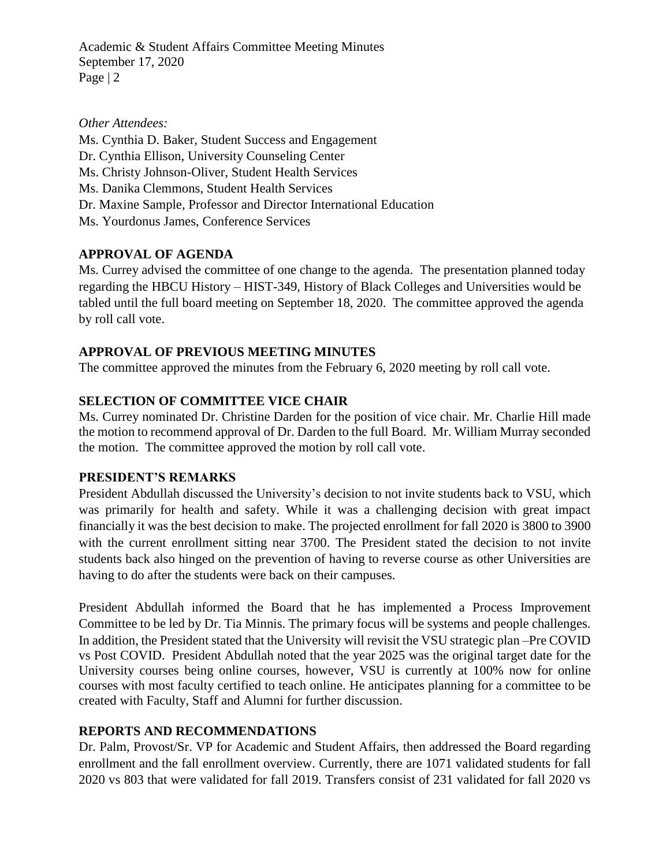Academic & Student Affairs Committee Meeting Minutes September 17, 2020 Page | 2

### *Other Attendees:*

Ms. Cynthia D. Baker, Student Success and Engagement Dr. Cynthia Ellison, University Counseling Center Ms. Christy Johnson-Oliver, Student Health Services Ms. Danika Clemmons, Student Health Services Dr. Maxine Sample, Professor and Director International Education Ms. Yourdonus James, Conference Services

## **APPROVAL OF AGENDA**

Ms. Currey advised the committee of one change to the agenda. The presentation planned today regarding the HBCU History – HIST-349, History of Black Colleges and Universities would be tabled until the full board meeting on September 18, 2020. The committee approved the agenda by roll call vote.

## **APPROVAL OF PREVIOUS MEETING MINUTES**

The committee approved the minutes from the February 6, 2020 meeting by roll call vote.

## **SELECTION OF COMMITTEE VICE CHAIR**

Ms. Currey nominated Dr. Christine Darden for the position of vice chair. Mr. Charlie Hill made the motion to recommend approval of Dr. Darden to the full Board. Mr. William Murray seconded the motion. The committee approved the motion by roll call vote.

### **PRESIDENT'S REMARKS**

President Abdullah discussed the University's decision to not invite students back to VSU, which was primarily for health and safety. While it was a challenging decision with great impact financially it was the best decision to make. The projected enrollment for fall 2020 is 3800 to 3900 with the current enrollment sitting near 3700. The President stated the decision to not invite students back also hinged on the prevention of having to reverse course as other Universities are having to do after the students were back on their campuses.

President Abdullah informed the Board that he has implemented a Process Improvement Committee to be led by Dr. Tia Minnis. The primary focus will be systems and people challenges. In addition, the President stated that the University will revisit the VSU strategic plan –Pre COVID vs Post COVID. President Abdullah noted that the year 2025 was the original target date for the University courses being online courses, however, VSU is currently at 100% now for online courses with most faculty certified to teach online. He anticipates planning for a committee to be created with Faculty, Staff and Alumni for further discussion.

# **REPORTS AND RECOMMENDATIONS**

Dr. Palm, Provost/Sr. VP for Academic and Student Affairs, then addressed the Board regarding enrollment and the fall enrollment overview. Currently, there are 1071 validated students for fall 2020 vs 803 that were validated for fall 2019. Transfers consist of 231 validated for fall 2020 vs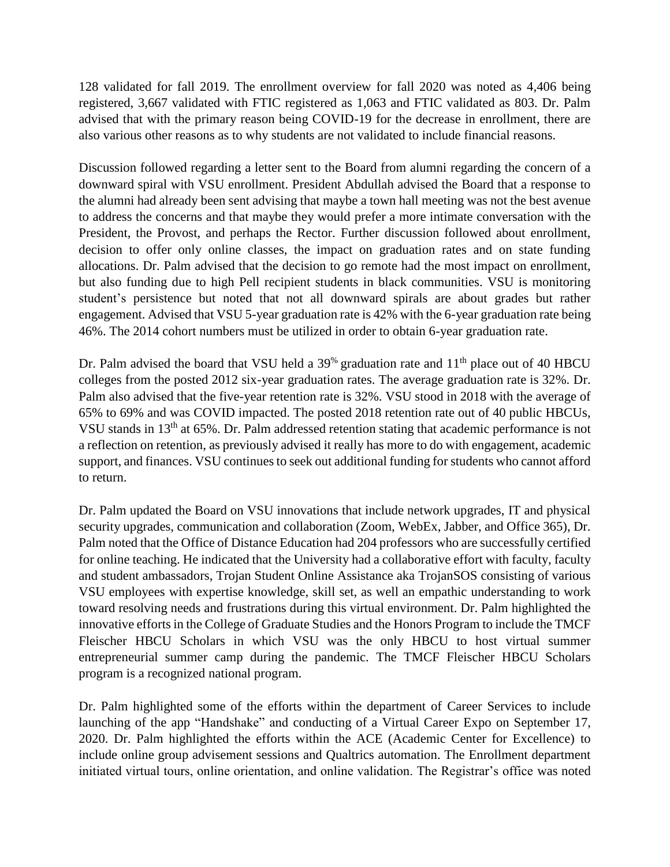128 validated for fall 2019. The enrollment overview for fall 2020 was noted as 4,406 being registered, 3,667 validated with FTIC registered as 1,063 and FTIC validated as 803. Dr. Palm advised that with the primary reason being COVID-19 for the decrease in enrollment, there are also various other reasons as to why students are not validated to include financial reasons.

Discussion followed regarding a letter sent to the Board from alumni regarding the concern of a downward spiral with VSU enrollment. President Abdullah advised the Board that a response to the alumni had already been sent advising that maybe a town hall meeting was not the best avenue to address the concerns and that maybe they would prefer a more intimate conversation with the President, the Provost, and perhaps the Rector. Further discussion followed about enrollment, decision to offer only online classes, the impact on graduation rates and on state funding allocations. Dr. Palm advised that the decision to go remote had the most impact on enrollment, but also funding due to high Pell recipient students in black communities. VSU is monitoring student's persistence but noted that not all downward spirals are about grades but rather engagement. Advised that VSU 5-year graduation rate is 42% with the 6-year graduation rate being 46%. The 2014 cohort numbers must be utilized in order to obtain 6-year graduation rate.

Dr. Palm advised the board that VSU held a  $39^{\%}$  graduation rate and  $11^{\text{th}}$  place out of 40 HBCU colleges from the posted 2012 six-year graduation rates. The average graduation rate is 32%. Dr. Palm also advised that the five-year retention rate is 32%. VSU stood in 2018 with the average of 65% to 69% and was COVID impacted. The posted 2018 retention rate out of 40 public HBCUs, VSU stands in 13th at 65%. Dr. Palm addressed retention stating that academic performance is not a reflection on retention, as previously advised it really has more to do with engagement, academic support, and finances. VSU continues to seek out additional funding for students who cannot afford to return.

Dr. Palm updated the Board on VSU innovations that include network upgrades, IT and physical security upgrades, communication and collaboration (Zoom, WebEx, Jabber, and Office 365), Dr. Palm noted that the Office of Distance Education had 204 professors who are successfully certified for online teaching. He indicated that the University had a collaborative effort with faculty, faculty and student ambassadors, Trojan Student Online Assistance aka TrojanSOS consisting of various VSU employees with expertise knowledge, skill set, as well an empathic understanding to work toward resolving needs and frustrations during this virtual environment. Dr. Palm highlighted the innovative efforts in the College of Graduate Studies and the Honors Program to include the TMCF Fleischer HBCU Scholars in which VSU was the only HBCU to host virtual summer entrepreneurial summer camp during the pandemic. The TMCF Fleischer HBCU Scholars program is a recognized national program.

Dr. Palm highlighted some of the efforts within the department of Career Services to include launching of the app "Handshake" and conducting of a Virtual Career Expo on September 17, 2020. Dr. Palm highlighted the efforts within the ACE (Academic Center for Excellence) to include online group advisement sessions and Qualtrics automation. The Enrollment department initiated virtual tours, online orientation, and online validation. The Registrar's office was noted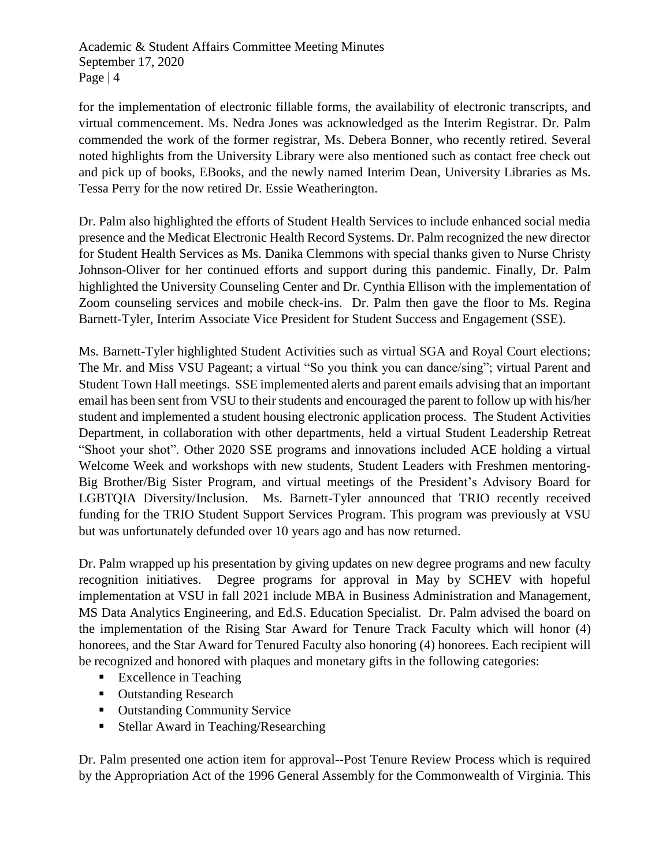Academic & Student Affairs Committee Meeting Minutes September 17, 2020 Page | 4

for the implementation of electronic fillable forms, the availability of electronic transcripts, and virtual commencement. Ms. Nedra Jones was acknowledged as the Interim Registrar. Dr. Palm commended the work of the former registrar, Ms. Debera Bonner, who recently retired. Several noted highlights from the University Library were also mentioned such as contact free check out and pick up of books, EBooks, and the newly named Interim Dean, University Libraries as Ms. Tessa Perry for the now retired Dr. Essie Weatherington.

Dr. Palm also highlighted the efforts of Student Health Services to include enhanced social media presence and the Medicat Electronic Health Record Systems. Dr. Palm recognized the new director for Student Health Services as Ms. Danika Clemmons with special thanks given to Nurse Christy Johnson-Oliver for her continued efforts and support during this pandemic. Finally, Dr. Palm highlighted the University Counseling Center and Dr. Cynthia Ellison with the implementation of Zoom counseling services and mobile check-ins. Dr. Palm then gave the floor to Ms. Regina Barnett-Tyler, Interim Associate Vice President for Student Success and Engagement (SSE).

Ms. Barnett-Tyler highlighted Student Activities such as virtual SGA and Royal Court elections; The Mr. and Miss VSU Pageant; a virtual "So you think you can dance/sing"; virtual Parent and Student Town Hall meetings. SSE implemented alerts and parent emails advising that an important email has been sent from VSU to their students and encouraged the parent to follow up with his/her student and implemented a student housing electronic application process. The Student Activities Department, in collaboration with other departments, held a virtual Student Leadership Retreat "Shoot your shot". Other 2020 SSE programs and innovations included ACE holding a virtual Welcome Week and workshops with new students, Student Leaders with Freshmen mentoring-Big Brother/Big Sister Program, and virtual meetings of the President's Advisory Board for LGBTQIA Diversity/Inclusion. Ms. Barnett-Tyler announced that TRIO recently received funding for the TRIO Student Support Services Program. This program was previously at VSU but was unfortunately defunded over 10 years ago and has now returned.

Dr. Palm wrapped up his presentation by giving updates on new degree programs and new faculty recognition initiatives. Degree programs for approval in May by SCHEV with hopeful implementation at VSU in fall 2021 include MBA in Business Administration and Management, MS Data Analytics Engineering, and Ed.S. Education Specialist. Dr. Palm advised the board on the implementation of the Rising Star Award for Tenure Track Faculty which will honor (4) honorees, and the Star Award for Tenured Faculty also honoring (4) honorees. Each recipient will be recognized and honored with plaques and monetary gifts in the following categories:

- **Excellence in Teaching**
- Outstanding Research
- **Outstanding Community Service**
- Stellar Award in Teaching/Researching

Dr. Palm presented one action item for approval--Post Tenure Review Process which is required by the Appropriation Act of the 1996 General Assembly for the Commonwealth of Virginia. This